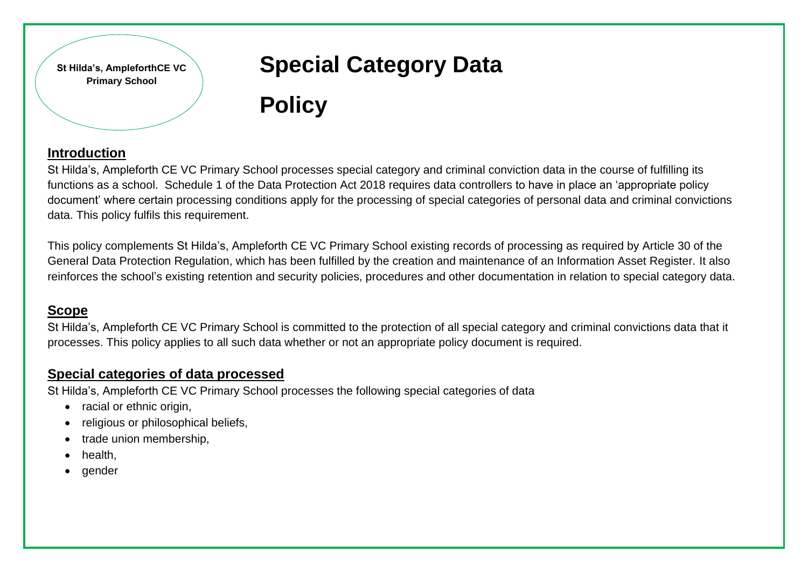**St Hilda's, AmpleforthCE VC Primary School**

# **Special Category Data**

# **Policy**

### **Introduction**

St Hilda's, Ampleforth CE VC Primary School processes special category and criminal conviction data in the course of fulfilling its functions as a school. Schedule 1 of the Data Protection Act 2018 requires data controllers to have in place an 'appropriate policy document' where certain processing conditions apply for the processing of special categories of personal data and criminal convictions data. This policy fulfils this requirement.

This policy complements St Hilda's, Ampleforth CE VC Primary School existing records of processing as required by Article 30 of the General Data Protection Regulation, which has been fulfilled by the creation and maintenance of an Information Asset Register. It also reinforces the school's existing retention and security policies, procedures and other documentation in relation to special category data.

## **Scope**

St Hilda's, Ampleforth CE VC Primary School is committed to the protection of all special category and criminal convictions data that it processes. This policy applies to all such data whether or not an appropriate policy document is required.

#### **Special categories of data processed**

St Hilda's, Ampleforth CE VC Primary School processes the following special categories of data

- racial or ethnic origin.
- religious or philosophical beliefs,
- trade union membership,
- health,
- gender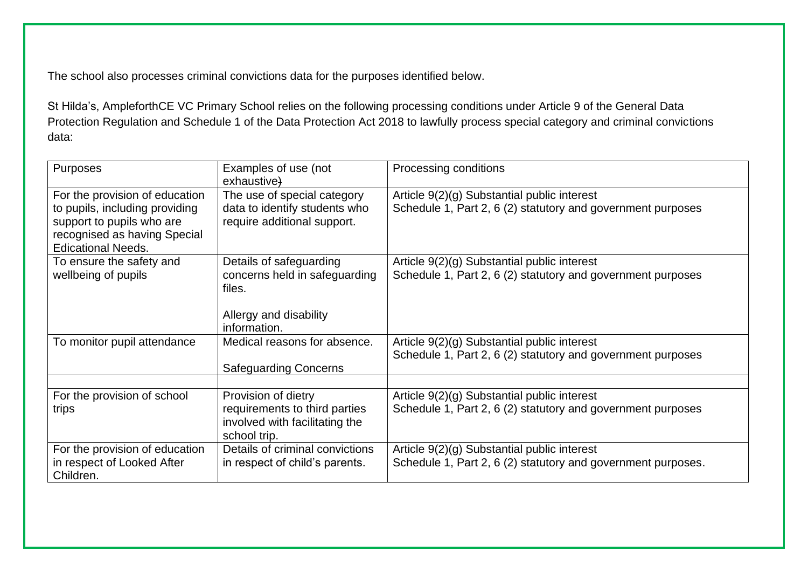The school also processes criminal convictions data for the purposes identified below.

St Hilda's, AmpleforthCE VC Primary School relies on the following processing conditions under Article 9 of the General Data Protection Regulation and Schedule 1 of the Data Protection Act 2018 to lawfully process special category and criminal convictions data:

| Purposes                                                                                                                                                   | Examples of use (not<br>exhaustive)                                                                          | Processing conditions                                                                                       |
|------------------------------------------------------------------------------------------------------------------------------------------------------------|--------------------------------------------------------------------------------------------------------------|-------------------------------------------------------------------------------------------------------------|
| For the provision of education<br>to pupils, including providing<br>support to pupils who are<br>recognised as having Special<br><b>Edicational Needs.</b> | The use of special category<br>data to identify students who<br>require additional support.                  | Article 9(2)(g) Substantial public interest<br>Schedule 1, Part 2, 6 (2) statutory and government purposes  |
| To ensure the safety and<br>wellbeing of pupils                                                                                                            | Details of safeguarding<br>concerns held in safeguarding<br>files.<br>Allergy and disability<br>information. | Article 9(2)(g) Substantial public interest<br>Schedule 1, Part 2, 6 (2) statutory and government purposes  |
| To monitor pupil attendance                                                                                                                                | Medical reasons for absence.<br><b>Safeguarding Concerns</b>                                                 | Article 9(2)(g) Substantial public interest<br>Schedule 1, Part 2, 6 (2) statutory and government purposes  |
| For the provision of school<br>trips                                                                                                                       | Provision of dietry<br>requirements to third parties<br>involved with facilitating the<br>school trip.       | Article 9(2)(g) Substantial public interest<br>Schedule 1, Part 2, 6 (2) statutory and government purposes  |
| For the provision of education<br>in respect of Looked After<br>Children.                                                                                  | Details of criminal convictions<br>in respect of child's parents.                                            | Article 9(2)(g) Substantial public interest<br>Schedule 1, Part 2, 6 (2) statutory and government purposes. |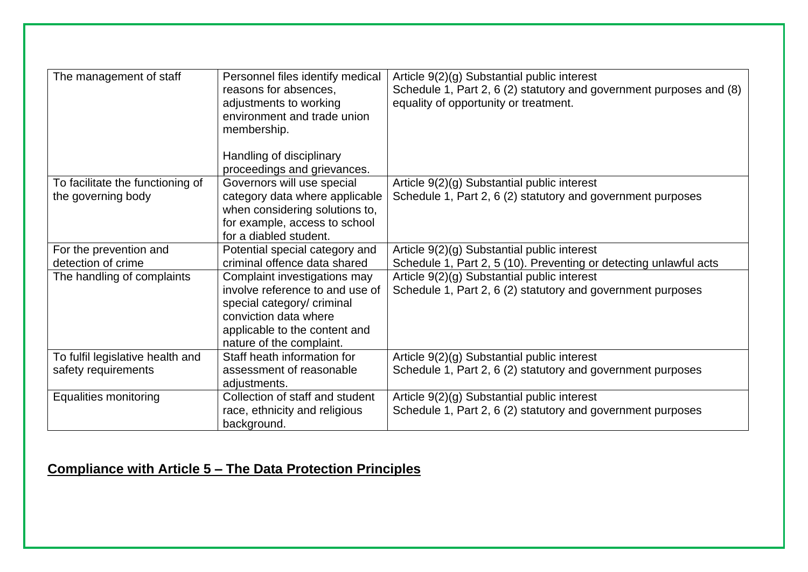| The management of staff          | Personnel files identify medical<br>reasons for absences,<br>adjustments to working<br>environment and trade union<br>membership.<br>Handling of disciplinary<br>proceedings and grievances. | Article 9(2)(g) Substantial public interest<br>Schedule 1, Part 2, 6 (2) statutory and government purposes and (8)<br>equality of opportunity or treatment. |
|----------------------------------|----------------------------------------------------------------------------------------------------------------------------------------------------------------------------------------------|-------------------------------------------------------------------------------------------------------------------------------------------------------------|
| To facilitate the functioning of | Governors will use special                                                                                                                                                                   | Article 9(2)(g) Substantial public interest                                                                                                                 |
| the governing body               | category data where applicable<br>when considering solutions to,<br>for example, access to school<br>for a diabled student.                                                                  | Schedule 1, Part 2, 6 (2) statutory and government purposes                                                                                                 |
| For the prevention and           | Potential special category and                                                                                                                                                               | Article 9(2)(g) Substantial public interest                                                                                                                 |
| detection of crime               | criminal offence data shared                                                                                                                                                                 | Schedule 1, Part 2, 5 (10). Preventing or detecting unlawful acts                                                                                           |
| The handling of complaints       | Complaint investigations may<br>involve reference to and use of<br>special category/ criminal<br>conviction data where<br>applicable to the content and<br>nature of the complaint.          | Article 9(2)(g) Substantial public interest<br>Schedule 1, Part 2, 6 (2) statutory and government purposes                                                  |
| To fulfil legislative health and | Staff heath information for                                                                                                                                                                  | Article 9(2)(g) Substantial public interest                                                                                                                 |
| safety requirements              | assessment of reasonable<br>adjustments.                                                                                                                                                     | Schedule 1, Part 2, 6 (2) statutory and government purposes                                                                                                 |
| <b>Equalities monitoring</b>     | Collection of staff and student                                                                                                                                                              | Article 9(2)(g) Substantial public interest                                                                                                                 |
|                                  | race, ethnicity and religious<br>background.                                                                                                                                                 | Schedule 1, Part 2, 6 (2) statutory and government purposes                                                                                                 |

# **Compliance with Article 5 – The Data Protection Principles**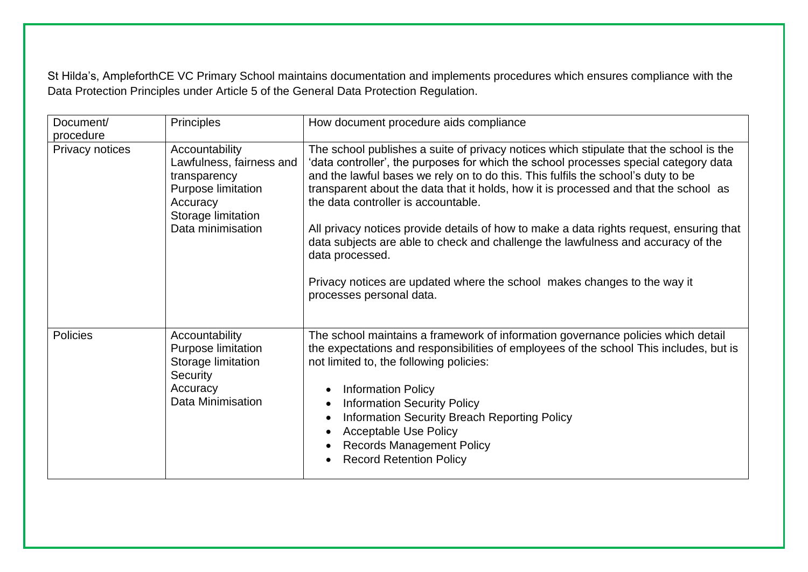St Hilda's, AmpleforthCE VC Primary School maintains documentation and implements procedures which ensures compliance with the Data Protection Principles under Article 5 of the General Data Protection Regulation.

| Document/<br>procedure | <b>Principles</b>                                                                                                                              | How document procedure aids compliance                                                                                                                                                                                                                                                                                                                                                                                                                                                                                                                                                                                                                                                                      |
|------------------------|------------------------------------------------------------------------------------------------------------------------------------------------|-------------------------------------------------------------------------------------------------------------------------------------------------------------------------------------------------------------------------------------------------------------------------------------------------------------------------------------------------------------------------------------------------------------------------------------------------------------------------------------------------------------------------------------------------------------------------------------------------------------------------------------------------------------------------------------------------------------|
| Privacy notices        | Accountability<br>Lawfulness, fairness and<br>transparency<br><b>Purpose limitation</b><br>Accuracy<br>Storage limitation<br>Data minimisation | The school publishes a suite of privacy notices which stipulate that the school is the<br>'data controller', the purposes for which the school processes special category data<br>and the lawful bases we rely on to do this. This fulfils the school's duty to be<br>transparent about the data that it holds, how it is processed and that the school as<br>the data controller is accountable.<br>All privacy notices provide details of how to make a data rights request, ensuring that<br>data subjects are able to check and challenge the lawfulness and accuracy of the<br>data processed.<br>Privacy notices are updated where the school makes changes to the way it<br>processes personal data. |
| <b>Policies</b>        | Accountability<br>Purpose limitation<br>Storage limitation<br>Security<br>Accuracy<br><b>Data Minimisation</b>                                 | The school maintains a framework of information governance policies which detail<br>the expectations and responsibilities of employees of the school This includes, but is<br>not limited to, the following policies:<br><b>Information Policy</b><br><b>Information Security Policy</b><br>Information Security Breach Reporting Policy<br><b>Acceptable Use Policy</b><br><b>Records Management Policy</b><br><b>Record Retention Policy</b>                                                                                                                                                                                                                                                              |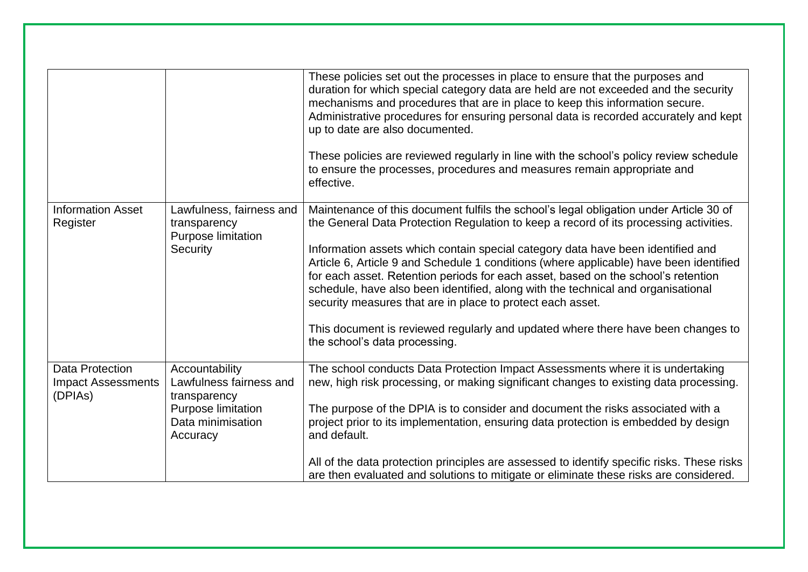|                                                                |                                                                                                                         | These policies set out the processes in place to ensure that the purposes and<br>duration for which special category data are held are not exceeded and the security<br>mechanisms and procedures that are in place to keep this information secure.<br>Administrative procedures for ensuring personal data is recorded accurately and kept<br>up to date are also documented.<br>These policies are reviewed regularly in line with the school's policy review schedule<br>to ensure the processes, procedures and measures remain appropriate and<br>effective.                                                                                                                                                       |
|----------------------------------------------------------------|-------------------------------------------------------------------------------------------------------------------------|--------------------------------------------------------------------------------------------------------------------------------------------------------------------------------------------------------------------------------------------------------------------------------------------------------------------------------------------------------------------------------------------------------------------------------------------------------------------------------------------------------------------------------------------------------------------------------------------------------------------------------------------------------------------------------------------------------------------------|
| <b>Information Asset</b><br>Register                           | Lawfulness, fairness and<br>transparency<br>Purpose limitation<br>Security                                              | Maintenance of this document fulfils the school's legal obligation under Article 30 of<br>the General Data Protection Regulation to keep a record of its processing activities.<br>Information assets which contain special category data have been identified and<br>Article 6, Article 9 and Schedule 1 conditions (where applicable) have been identified<br>for each asset. Retention periods for each asset, based on the school's retention<br>schedule, have also been identified, along with the technical and organisational<br>security measures that are in place to protect each asset.<br>This document is reviewed regularly and updated where there have been changes to<br>the school's data processing. |
| <b>Data Protection</b><br><b>Impact Assessments</b><br>(DPIAs) | Accountability<br>Lawfulness fairness and<br>transparency<br><b>Purpose limitation</b><br>Data minimisation<br>Accuracy | The school conducts Data Protection Impact Assessments where it is undertaking<br>new, high risk processing, or making significant changes to existing data processing.<br>The purpose of the DPIA is to consider and document the risks associated with a<br>project prior to its implementation, ensuring data protection is embedded by design<br>and default.<br>All of the data protection principles are assessed to identify specific risks. These risks<br>are then evaluated and solutions to mitigate or eliminate these risks are considered.                                                                                                                                                                 |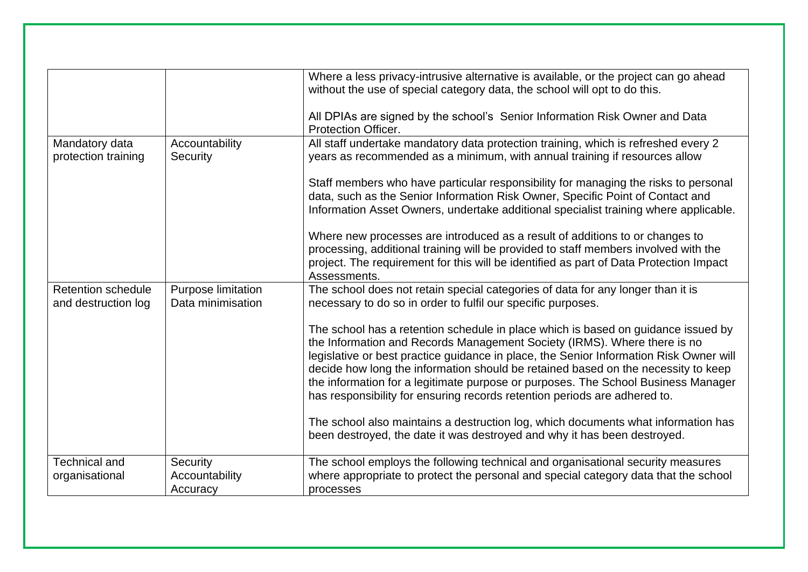|                                                  |                                         | Where a less privacy-intrusive alternative is available, or the project can go ahead<br>without the use of special category data, the school will opt to do this.<br>All DPIAs are signed by the school's Senior Information Risk Owner and Data                                                                                                                                                                                                                                                               |
|--------------------------------------------------|-----------------------------------------|----------------------------------------------------------------------------------------------------------------------------------------------------------------------------------------------------------------------------------------------------------------------------------------------------------------------------------------------------------------------------------------------------------------------------------------------------------------------------------------------------------------|
|                                                  |                                         | <b>Protection Officer.</b>                                                                                                                                                                                                                                                                                                                                                                                                                                                                                     |
| Mandatory data<br>protection training            | Accountability<br>Security              | All staff undertake mandatory data protection training, which is refreshed every 2<br>years as recommended as a minimum, with annual training if resources allow                                                                                                                                                                                                                                                                                                                                               |
|                                                  |                                         | Staff members who have particular responsibility for managing the risks to personal<br>data, such as the Senior Information Risk Owner, Specific Point of Contact and<br>Information Asset Owners, undertake additional specialist training where applicable.                                                                                                                                                                                                                                                  |
|                                                  |                                         | Where new processes are introduced as a result of additions to or changes to<br>processing, additional training will be provided to staff members involved with the<br>project. The requirement for this will be identified as part of Data Protection Impact<br>Assessments.                                                                                                                                                                                                                                  |
| <b>Retention schedule</b><br>and destruction log | Purpose limitation<br>Data minimisation | The school does not retain special categories of data for any longer than it is<br>necessary to do so in order to fulfil our specific purposes.                                                                                                                                                                                                                                                                                                                                                                |
|                                                  |                                         | The school has a retention schedule in place which is based on guidance issued by<br>the Information and Records Management Society (IRMS). Where there is no<br>legislative or best practice guidance in place, the Senior Information Risk Owner will<br>decide how long the information should be retained based on the necessity to keep<br>the information for a legitimate purpose or purposes. The School Business Manager<br>has responsibility for ensuring records retention periods are adhered to. |
|                                                  |                                         | The school also maintains a destruction log, which documents what information has<br>been destroyed, the date it was destroyed and why it has been destroyed.                                                                                                                                                                                                                                                                                                                                                  |
| <b>Technical and</b><br>organisational           | Security<br>Accountability<br>Accuracy  | The school employs the following technical and organisational security measures<br>where appropriate to protect the personal and special category data that the school<br>processes                                                                                                                                                                                                                                                                                                                            |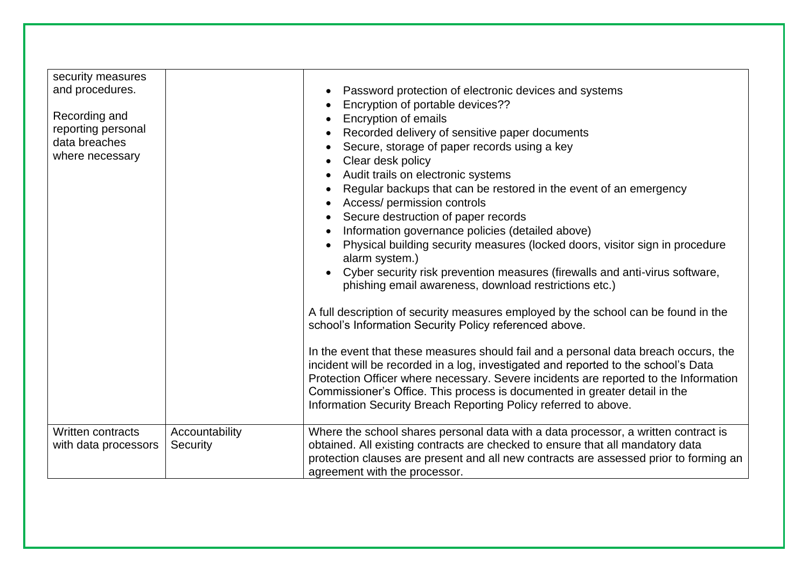| security measures<br>and procedures.<br>Recording and<br>reporting personal<br>data breaches<br>where necessary |                            | Password protection of electronic devices and systems<br>Encryption of portable devices??<br>Encryption of emails<br>Recorded delivery of sensitive paper documents<br>Secure, storage of paper records using a key<br>Clear desk policy<br>Audit trails on electronic systems<br>Regular backups that can be restored in the event of an emergency<br>Access/ permission controls<br>Secure destruction of paper records<br>Information governance policies (detailed above)<br>Physical building security measures (locked doors, visitor sign in procedure<br>alarm system.)<br>Cyber security risk prevention measures (firewalls and anti-virus software,<br>phishing email awareness, download restrictions etc.)<br>A full description of security measures employed by the school can be found in the<br>school's Information Security Policy referenced above.<br>In the event that these measures should fail and a personal data breach occurs, the<br>incident will be recorded in a log, investigated and reported to the school's Data<br>Protection Officer where necessary. Severe incidents are reported to the Information<br>Commissioner's Office. This process is documented in greater detail in the<br>Information Security Breach Reporting Policy referred to above. |
|-----------------------------------------------------------------------------------------------------------------|----------------------------|-----------------------------------------------------------------------------------------------------------------------------------------------------------------------------------------------------------------------------------------------------------------------------------------------------------------------------------------------------------------------------------------------------------------------------------------------------------------------------------------------------------------------------------------------------------------------------------------------------------------------------------------------------------------------------------------------------------------------------------------------------------------------------------------------------------------------------------------------------------------------------------------------------------------------------------------------------------------------------------------------------------------------------------------------------------------------------------------------------------------------------------------------------------------------------------------------------------------------------------------------------------------------------------------------|
| Written contracts<br>with data processors                                                                       | Accountability<br>Security | Where the school shares personal data with a data processor, a written contract is<br>obtained. All existing contracts are checked to ensure that all mandatory data<br>protection clauses are present and all new contracts are assessed prior to forming an<br>agreement with the processor.                                                                                                                                                                                                                                                                                                                                                                                                                                                                                                                                                                                                                                                                                                                                                                                                                                                                                                                                                                                                |